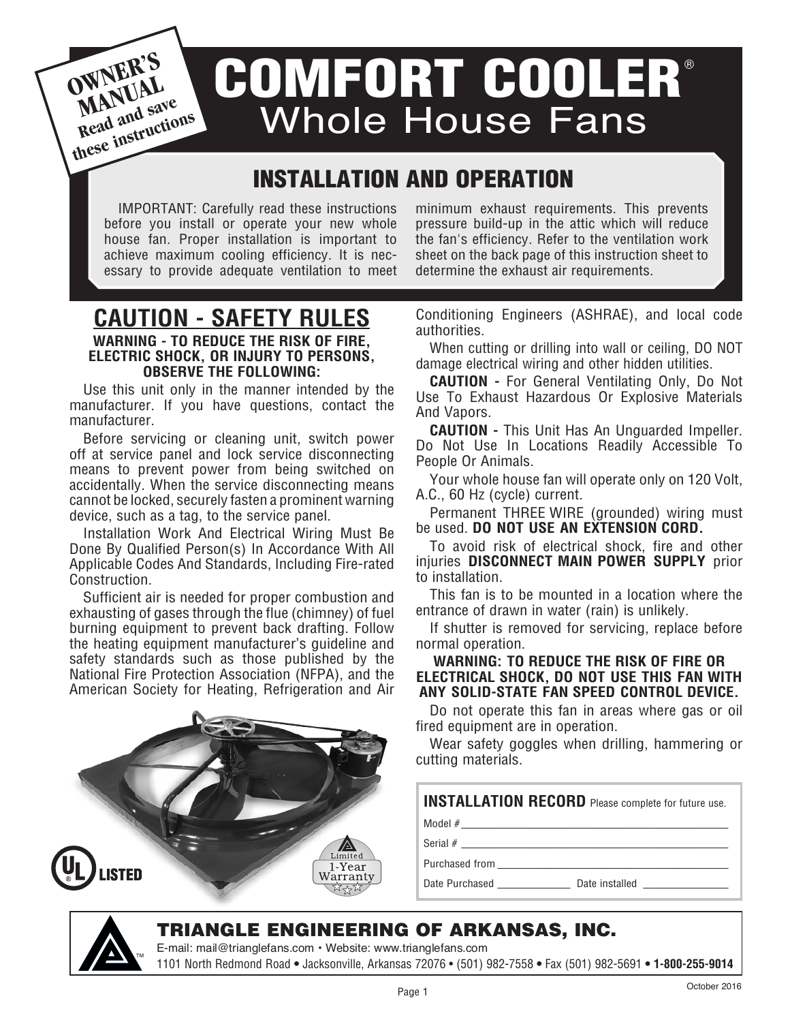**OWNER'S**<br>MANUAL<br>Read and save **MANUAL MAI** and save **these instructions**

## COMFORT COOLER® Whole House Fans

### INSTALLATION AND OPERATION

IMPORTANT: Carefully read these instructions before you install or operate your new whole house fan. Proper installation is important to achieve maximum cooling efficiency. It is necessary to provide adequate ventilation to meet

**CAUTION - SAFETY RULES WARNING - TO REDUCE THE RISK OF FIRE, ELECTRIC SHOCK, OR INJURY TO PERSONS, OBSERVE THE FOLLOWING:**

Use this unit only in the manner intended by the manufacturer. If you have questions, contact the manufacturer.

Before servicing or cleaning unit, switch power off at service panel and lock service disconnecting means to prevent power from being switched on accidentally. When the service disconnecting means cannot be locked, securely fasten a prominent warning device, such as a tag, to the service panel.

Installation Work And Electrical Wiring Must Be Done By Qualified Person(s) In Accordance With All Applicable Codes And Standards, Including Fire-rated Construction.

Sufficient air is needed for proper combustion and exhausting of gases through the flue (chimney) of fuel burning equipment to prevent back drafting. Follow the heating equipment manufacturer's guideline and safety standards such as those published by the National Fire Protection Association (NFPA), and the American Society for Heating, Refrigeration and Air



minimum exhaust requirements. This prevents pressure build-up in the attic which will reduce the fan's efficiency. Refer to the ventilation work sheet on the back page of this instruction sheet to determine the exhaust air requirements.

Conditioning Engineers (ASHRAE), and local code authorities.

When cutting or drilling into wall or ceiling, DO NOT damage electrical wiring and other hidden utilities.

**CAUTION -** For General Ventilating Only, Do Not Use To Exhaust Hazardous Or Explosive Materials And Vapors.

**CAUTION -** This Unit Has An Unguarded Impeller. Do Not Use In Locations Readily Accessible To People Or Animals.

Your whole house fan will operate only on 120 Volt, A.C., 60 Hz (cycle) current.

Permanent THREE WIRE (grounded) wiring must be used. **DO NOT USE AN EXTENSION CORD.**

To avoid risk of electrical shock, fire and other injuries **DISCONNECT MAIN POWER SUPPLY** prior to installation.

This fan is to be mounted in a location where the entrance of drawn in water (rain) is unlikely.

If shutter is removed for servicing, replace before normal operation.

#### **WARNING: To reduce the risk of fire or electrical shock, DO NOT USE THIS FAN WITH ANY SOLID-STATE FAN SPEED CONTROL DEVICE.**

Do not operate this fan in areas where gas or oil fired equipment are in operation.

Wear safety goggles when drilling, hammering or cutting materials.

**INSTALLATION RECORD** Please complete for future use.

Model #\_\_\_\_\_\_\_\_\_\_\_\_\_\_\_\_\_\_\_\_\_\_\_\_\_\_\_\_\_\_\_\_\_\_\_\_\_\_\_\_\_\_\_\_

Serial  $\#$ 

Purchased from

Date Purchased \_\_\_\_\_\_\_\_\_\_\_\_\_\_\_ Date installed \_\_\_\_\_\_\_\_\_\_\_\_\_\_\_\_\_\_\_\_\_\_\_\_\_\_\_\_\_\_\_\_\_\_

# TM

### Triangle Engineering of arkansas, inc.

E-mail: mail@trianglefans.com • Website: www.trianglefans.com 1101 North Redmond Road **•** Jacksonville, Arkansas 72076 • (501) 982-7558 **•** Fax (501) 982-5691 **• 1-800-255-9014**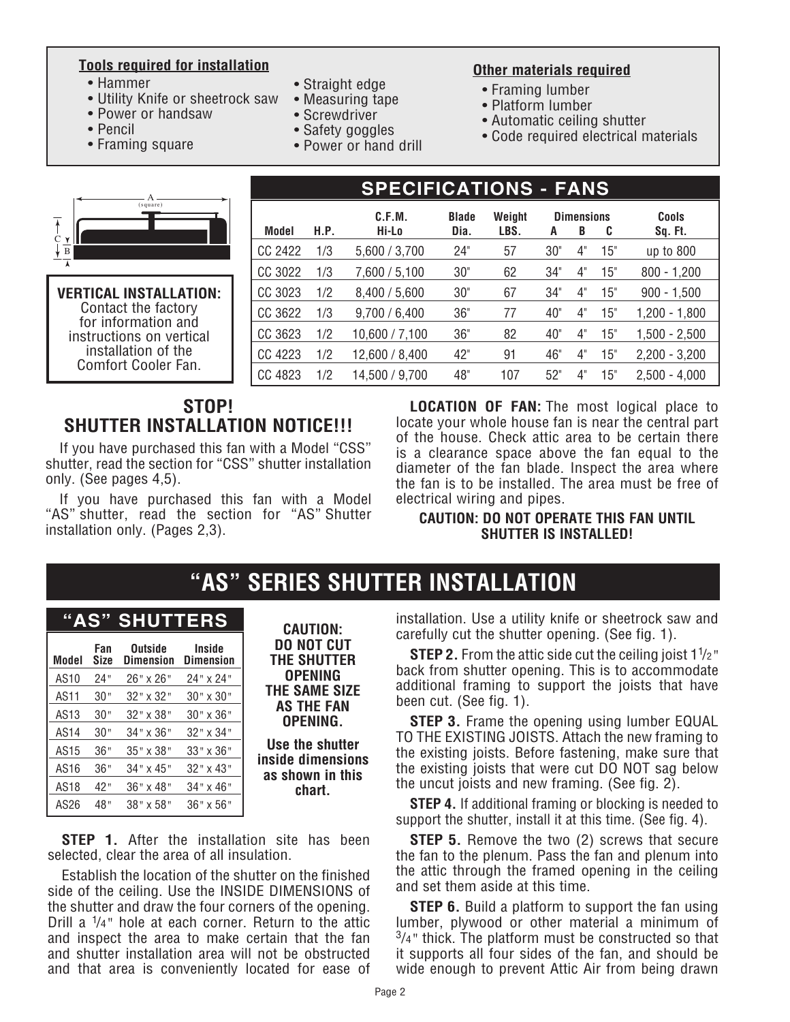#### **Tools required for installation**

- Hammer
- Utility Knife or sheetrock saw
- Power or handsaw
- Pencil
- Framing square
- Straight edge
- Measuring tape
- Screwdriver
- Safety goggles
- Power or hand drill

#### **Other materials required**

- Framing lumber
- Platform lumber
- Automatic ceiling shutter
- Code required electrical materials

|   | (square) |
|---|----------|
|   |          |
| В |          |
|   |          |

#### **Vertical Installation:** Contact the factory for information and instructions on vertical installation of the Comfort Cooler Fan.

|         |      | C.F.M.         | <b>Blade</b> | Weight |                 | <b>Dimensions</b> |     | <b>Cools</b>    |
|---------|------|----------------|--------------|--------|-----------------|-------------------|-----|-----------------|
| Model   | H.P. | Hi-Lo          | Dia.         | LBS.   | A               | B                 | C   | Sq. Ft.         |
| CC 2422 | 1/3  | 5,600 / 3,700  | 24"          | 57     | 30"             | 4"                | 15" | up to 800       |
| CC 3022 | 1/3  | 7,600 / 5,100  | 30"          | 62     | 34"             | 4"                | 15" | $800 - 1,200$   |
| CC 3023 | 1/2  | 8,400 / 5,600  | 30"          | 67     | 34"             | $4^{\circ}$       | 15" | $900 - 1,500$   |
| CC 3622 | 1/3  | 9,700 / 6,400  | 36"          | 77     | 40 <sup>°</sup> | 4"                | 15" | $1,200 - 1,800$ |
| CC 3623 | 1/2  | 10,600 / 7,100 | 36"          | 82     | $40^{\circ}$    | 4"                | 15" | $1,500 - 2,500$ |
| CC 4223 | 1/2  | 12,600 / 8,400 | 42"          | 91     | 46"             | 4"                | 15" | $2,200 - 3,200$ |
| CC 4823 | 1/2  | 14,500 / 9.700 | 48"          | 107    | 52"             | 4"                | 15" | $2,500 - 4,000$ |

**SPECIFICATIONS - Fans**

### **STOP! SHUTTER INSTALLATION NOTICE!!!**

If you have purchased this fan with a Model "CSS" shutter, read the section for "CSS" shutter installation only. (See pages 4,5).

If you have purchased this fan with a Model "AS" shutter, read the section for "AS" Shutter installation only. (Pages 2,3).

**Location of Fan:** The most logical place to locate your whole house fan is near the central part of the house. Check attic area to be certain there is a clearance space above the fan equal to the diameter of the fan blade. Inspect the area where the fan is to be installed. The area must be free of electrical wiring and pipes.

#### **Caution: Do not operate this fan until shutter is installed!**

### **"AS" SERIES SHUTTER INSTALLATION**

### **"AS" SHUTTERS**

| <b>CAUTION:</b>                       | AJ<br>эни<br>Eno           |                                    |                    |                  |  |
|---------------------------------------|----------------------------|------------------------------------|--------------------|------------------|--|
| <b>DO NOT CUT</b><br>THE SHUTTER      | Inside<br><b>Dimension</b> | <b>Outside</b><br><b>Dimension</b> | Fan<br><b>Size</b> | Model            |  |
| <b>OPENING</b>                        | 24" x 24"                  | 26" x 26"                          | 24"                | AS10             |  |
| THE SAME SIZE                         | 30" x 30"                  | $32" \times 32"$                   | 30"                | AS11             |  |
| <b>AS THE FAN</b><br>OPENING.         | 30" x 36"                  | $32" \times 38"$                   | 30"                | AS <sub>13</sub> |  |
|                                       | $32" \times 34"$           | $34" \times 36"$                   | 30"                | AS14             |  |
| Use the shutter                       | 33" x 36"                  | $35" \times 38"$                   | 36"                | AS15             |  |
| inside dimensions<br>as shown in this | 32" x 43"                  | $34" \times 45"$                   | 36"                | AS16             |  |
| chart.                                | 34" x 46"                  | 36" x 48"                          | 42"                | AS18             |  |
|                                       | 36" x 56"                  | $38" \times 58"$                   | 48"                | AS26             |  |

**STEP 1.** After the installation site has been selected, clear the area of all insulation.

Establish the location of the shutter on the finished side of the ceiling. Use the INSIDE DIMENSIONS of the shutter and draw the four corners of the opening. Drill a 1 /4*"* hole at each corner. Return to the attic and inspect the area to make certain that the fan and shutter installation area will not be obstructed and that area is conveniently located for ease of

installation. Use a utility knife or sheetrock saw and carefully cut the shutter opening. (See fig. 1).

**STEP 2.** From the attic side cut the ceiling joist 11 /2*"* back from shutter opening. This is to accommodate additional framing to support the joists that have been cut. (See fig. 1).

**STEP 3.** Frame the opening using lumber EQUAL TO THE EXISTING JOISTS. Attach the new framing to the existing joists. Before fastening, make sure that the existing joists that were cut DO NOT sag below the uncut joists and new framing. (See fig. 2).

**STEP 4.** If additional framing or blocking is needed to support the shutter, install it at this time. (See fig. 4).

**STEP 5.** Remove the two (2) screws that secure the fan to the plenum. Pass the fan and plenum into the attic through the framed opening in the ceiling and set them aside at this time.

**STEP 6.** Build a platform to support the fan using lumber, plywood or other material a minimum of 3/4*"* thick. The platform must be constructed so that it supports all four sides of the fan, and should be wide enough to prevent Attic Air from being drawn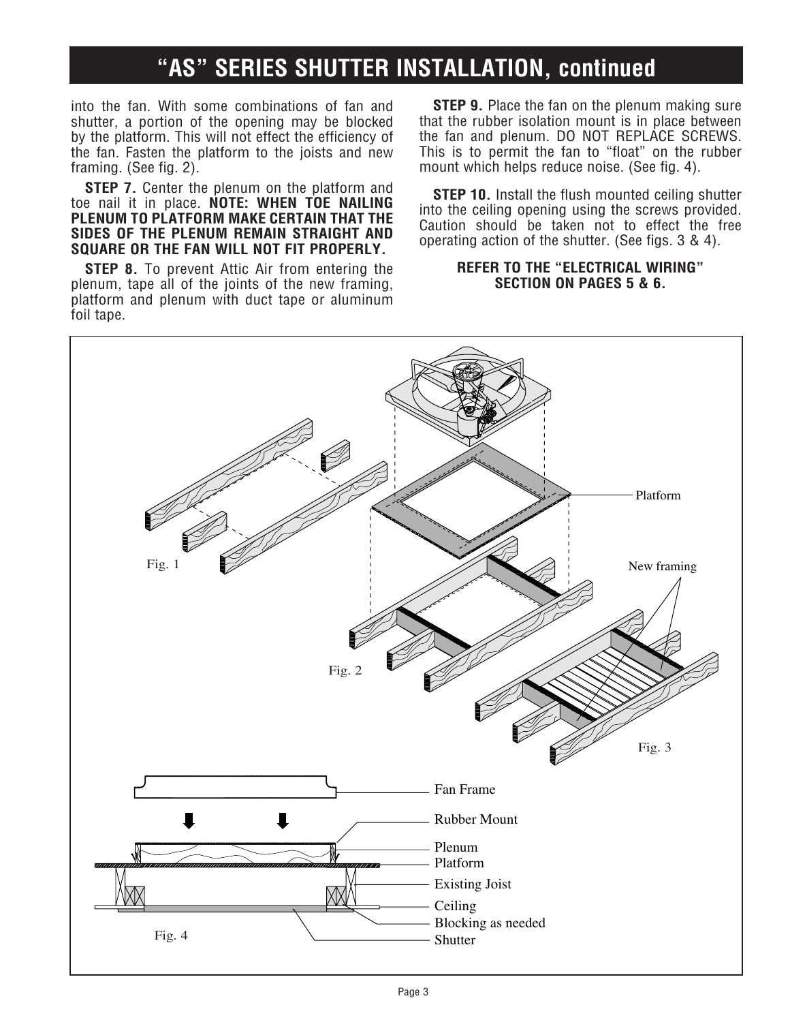### **"AS" SERIES SHUTTER INSTALLATION, continued**

into the fan. With some combinations of fan and shutter, a portion of the opening may be blocked by the platform. This will not effect the efficiency of the fan. Fasten the platform to the joists and new framing. (See fig. 2).

**STEP 7.** Center the plenum on the platform and toe nail it in place. **NOTE: WHEN TOE NAILING PLENUM TO PLATFORM MAKE CERTAIN THAT THE SIDES OF THE PLENUM REMAIN STRAIGHT AND SQUARE OR THE FAN WILL NOT FIT PROPERLY.**

**STEP 8.** To prevent Attic Air from entering the plenum, tape all of the joints of the new framing, platform and plenum with duct tape or aluminum foil tape.

**STEP 9.** Place the fan on the plenum making sure that the rubber isolation mount is in place between the fan and plenum. DO NOT REPLACE SCREWS. This is to permit the fan to "float" on the rubber mount which helps reduce noise. (See fig. 4).

**STEP 10.** Install the flush mounted ceiling shutter into the ceiling opening using the screws provided. Caution should be taken not to effect the free operating action of the shutter. (See figs. 3 & 4).

#### **REFER TO THE "ELECTRICAL wiring" SECTION ON PAGEs 5 & 6.**

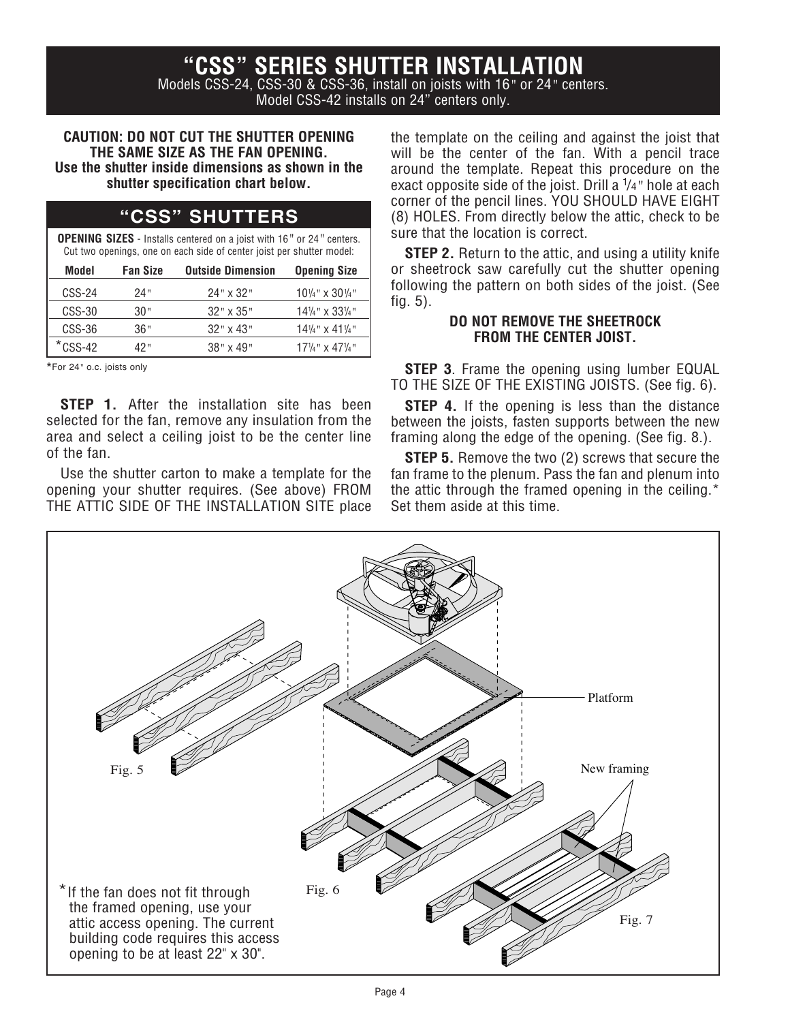**"CSS" SERIES SHUTTER INSTALLATION**

Models CSS-24, CSS-30 & CSS-36, install on joists with 16*"* or 24*"* centers. Model CSS-42 installs on 24" centers only.

#### **CAUTION: DO NOT CUT THE SHUTTER OPENING THE SAME SIZE AS THE FAN OPENING. Use the shutter inside dimensions as shown in the shutter specification chart below.**

| <b>"CSS" SHUTTERS</b> |
|-----------------------|
|                       |

**OPENING SIZES** - Installs centered on a joist with 16*"* or 24*"* centers. Cut two openings, one on each side of center joist per shutter model:

| Model      | <b>Fan Size</b> | <b>Outside Dimension</b> | <b>Opening Size</b>                    |
|------------|-----------------|--------------------------|----------------------------------------|
| $CSS-24$   | 24"             | $24" \times 32"$         | $10\frac{1}{4}$ " x 30 $\frac{1}{4}$ " |
| $CSS-30$   | 30"             | $32" \times 35"$         | $14\frac{1}{4}$ " x 33 $\frac{1}{4}$ " |
| CSS-36     | 36"             | $32" \times 43"$         | $14\frac{1}{4}$ " x 41 $\frac{1}{4}$ " |
| $*$ CSS-42 | 42"             | $38" \times 49"$         | $17\frac{1}{4}$ " x 47 $\frac{1}{4}$ " |

\*For 24*"* o.c. joists only

**STEP 1.** After the installation site has been selected for the fan, remove any insulation from the area and select a ceiling joist to be the center line of the fan.

Use the shutter carton to make a template for the opening your shutter requires. (See above) FROM THE ATTIC SIDE OF THE INSTALLATION SITE place

the template on the ceiling and against the joist that will be the center of the fan. With a pencil trace around the template. Repeat this procedure on the exact opposite side of the joist. Drill a 1 /4*"* hole at each corner of the pencil lines. YOU SHOULD HAVE EIGHT (8) HOLES. From directly below the attic, check to be sure that the location is correct.

**STEP 2.** Return to the attic, and using a utility knife or sheetrock saw carefully cut the shutter opening following the pattern on both sides of the joist. (See fig. 5).

#### **DO NOT REMOVE THE SHEETROCK FROM THE CENTER JOIST.**

**STEP 3**. Frame the opening using lumber EQUAL TO THE SIZE OF THE EXISTING JOISTS. (See fig. 6).

**STEP 4.** If the opening is less than the distance between the joists, fasten supports between the new framing along the edge of the opening. (See fig. 8.).

**STEP 5.** Remove the two (2) screws that secure the fan frame to the plenum. Pass the fan and plenum into the attic through the framed opening in the ceiling.\* Set them aside at this time.

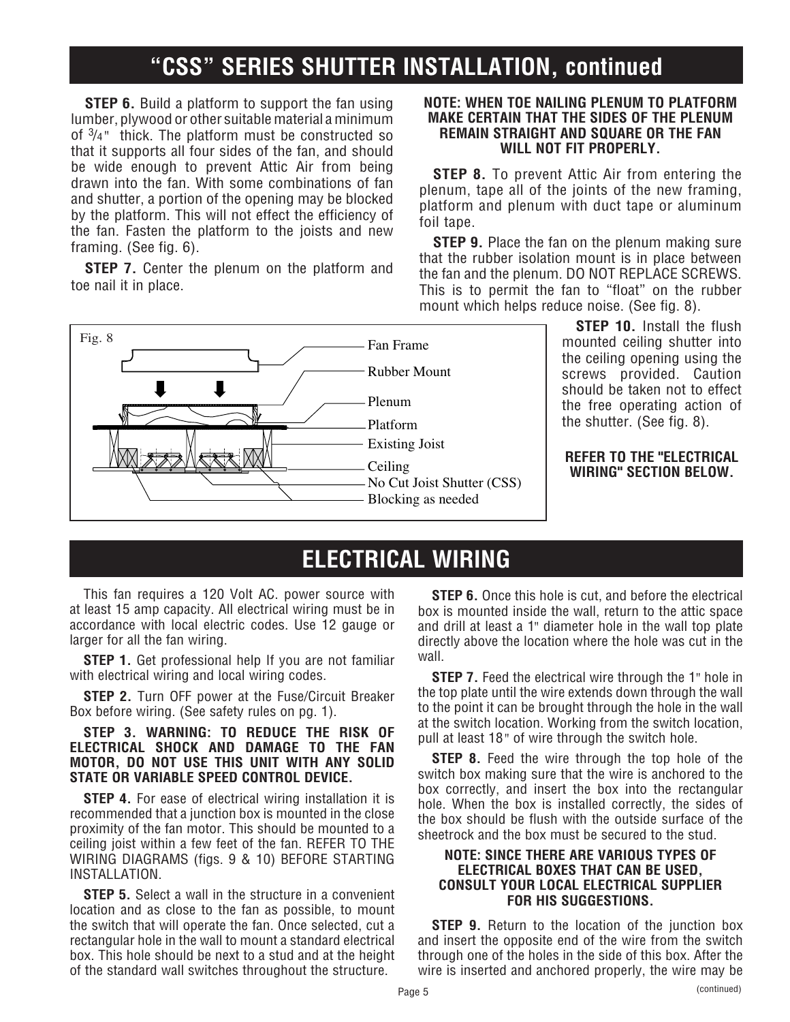### **"CSS" SERIES SHUTTER INSTALLATION, continued**

**STEP 6.** Build a platform to support the fan using lumber, plywood or other suitable material a minimum of 3 /4*"* thick. The platform must be constructed so that it supports all four sides of the fan, and should be wide enough to prevent Attic Air from being drawn into the fan. With some combinations of fan and shutter, a portion of the opening may be blocked by the platform. This will not effect the efficiency of the fan. Fasten the platform to the joists and new framing. (See fig. 6).

**STEP 7.** Center the plenum on the platform and toe nail it in place.

#### **NOTE: WHEN TOE NAILING PLENUM TO PLATFORM MAKE CERTAIN THAT THE SIDES OF THE PLENUM REMAIN STRAIGHT AND SQUARE OR THE FAN WILL NOT FIT PROPERLY.**

**STEP 8.** To prevent Attic Air from entering the plenum, tape all of the joints of the new framing, platform and plenum with duct tape or aluminum foil tape.

**STEP 9.** Place the fan on the plenum making sure that the rubber isolation mount is in place between the fan and the plenum. DO NOT REPLACE SCREWS. This is to permit the fan to "float" on the rubber mount which helps reduce noise. (See fig. 8).



**STEP 10.** Install the flush mounted ceiling shutter into the ceiling opening using the screws provided. Caution should be taken not to effect the free operating action of the shutter. (See fig. 8).

#### **REFER TO THE "ELECTRICAL wiring" SECTION BELOW.**

### **ELECTRICAL WIRING**

This fan requires a 120 Volt AC. power source with at least 15 amp capacity. All electrical wiring must be in accordance with local electric codes. Use 12 gauge or larger for all the fan wiring.

**STEP 1.** Get professional help If you are not familiar with electrical wiring and local wiring codes.

**STEP 2.** Turn OFF power at the Fuse/Circuit Breaker Box before wiring. (See safety rules on pg. 1).

#### **STEP 3. WARNING: To reduce the risk of electrical shock and damage to the fan motor, do not usE this unit with any solid state or variable speed control device.**

**STEP 4.** For ease of electrical wiring installation it is recommended that a junction box is mounted in the close proximity of the fan motor. This should be mounted to a ceiling joist within a few feet of the fan. REFER TO THE WIRING DIAGRAMS (figs. 9 & 10) BEFORE STARTING INSTALLATION.

**STEP 5.** Select a wall in the structure in a convenient location and as close to the fan as possible, to mount the switch that will operate the fan. Once selected, cut a rectangular hole in the wall to mount a standard electrical box. This hole should be next to a stud and at the height of the standard wall switches throughout the structure.

**STEP 6.** Once this hole is cut, and before the electrical box is mounted inside the wall, return to the attic space and drill at least a 1*"* diameter hole in the wall top plate directly above the location where the hole was cut in the wall.

**STEP 7.** Feed the electrical wire through the 1*"* hole in the top plate until the wire extends down through the wall to the point it can be brought through the hole in the wall at the switch location. Working from the switch location, pull at least 18*"* of wire through the switch hole.

**STEP 8.** Feed the wire through the top hole of the switch box making sure that the wire is anchored to the box correctly, and insert the box into the rectangular hole. When the box is installed correctly, the sides of the box should be flush with the outside surface of the sheetrock and the box must be secured to the stud.

#### **NOTE: SINCE THERE ARE VARIOUS TYPES OF ELECTRICAL boxes THAT CAN BE USED, CONSULT YOUR LOCAL ELECTRICAL SUPPLIER FOR HIS SUGGESTIONS.**

**STEP 9.** Return to the location of the junction box and insert the opposite end of the wire from the switch through one of the holes in the side of this box. After the wire is inserted and anchored properly, the wire may be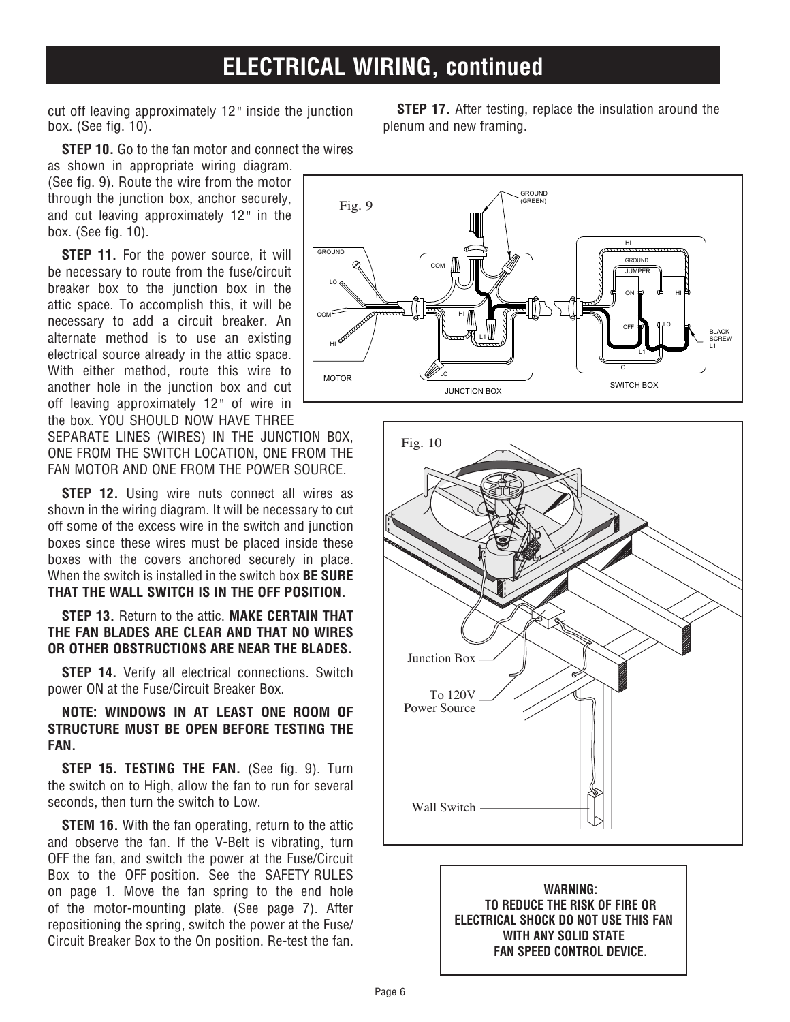### **ELECTRICAL WIRING, continued**

cut off leaving approximately 12*"* inside the junction box. (See fig. 10).

**STEP 10.** Go to the fan motor and connect the wires

as shown in appropriate wiring diagram. (See fig. 9). Route the wire from the motor through the junction box, anchor securely, and cut leaving approximately 12*"* in the box. (See fig. 10).

**STEP 11.** For the power source, it will be necessary to route from the fuse/circuit breaker box to the junction box in the attic space. To accomplish this, it will be necessary to add a circuit breaker. An alternate method is to use an existing electrical source already in the attic space. With either method, route this wire to another hole in the junction box and cut off leaving approximately 12*"* of wire in the box. YOU SHOULD NOW HAVE THREE

SEPARATE LINES (WIRES) IN THE JUNCTION B0X, ONE FROM THE SWITCH LOCATION, ONE FROM THE FAN MOTOR AND ONE FROM THE POWER SOURCE.

**STEP 12.** Using wire nuts connect all wires as shown in the wiring diagram. It will be necessary to cut off some of the excess wire in the switch and junction boxes since these wires must be placed inside these boxes with the covers anchored securely in place. When the switch is installed in the switch box **BE SURE that the wall switch IS IN THE OFF POSITION.** 

#### **STEP 13.** Return to the attic. **Make certain that the fan blades are clear and that no wires or other obstructions are near the blades.**

**STEP 14.** Verify all electrical connections. Switch power ON at the Fuse/Circuit Breaker Box.

#### **NOTE: WINDOWS IN AT LEAST ONE ROOM OF STRUCTURE MUST BE OPEN BEFORE TESTING THE FAN.**

**STEP 15. TESTING THE FAN.** (See fig. 9). Turn the switch on to High, allow the fan to run for several seconds, then turn the switch to Low.

**STEM 16.** With the fan operating, return to the attic and observe the fan. If the V-Belt is vibrating, turn OFF the fan, and switch the power at the Fuse/Circuit Box to the OFF position. See the SAFETY RULES on page 1. Move the fan spring to the end hole of the motor-mounting plate. (See page 7). After repositioning the spring, switch the power at the Fuse/ Circuit Breaker Box to the On position. Re-test the fan.

**STEP 17.** After testing, replace the insulation around the plenum and new framing.





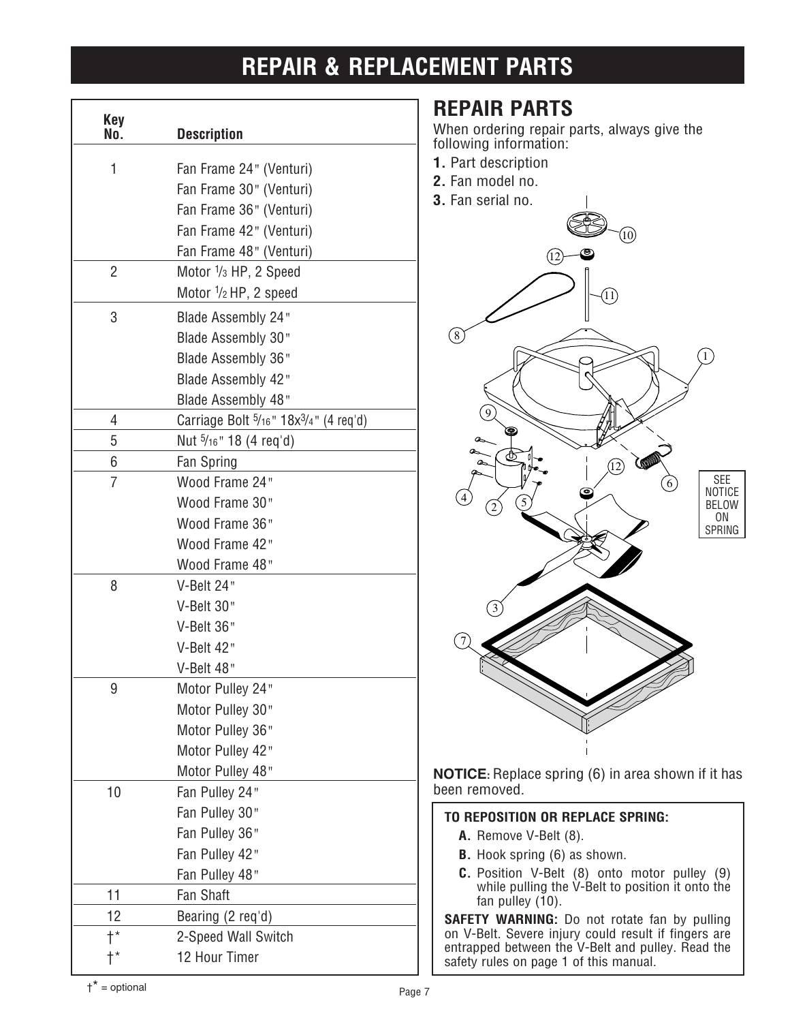### **REPAIR & REPLACEMENT PARTS**

| <b>Key</b><br>No.                            | <b>Description</b>                                     |
|----------------------------------------------|--------------------------------------------------------|
| 1                                            | Fan Frame 24" (Venturi)                                |
|                                              | Fan Frame 30" (Venturi)                                |
|                                              | Fan Frame 36" (Venturi)                                |
|                                              | Fan Frame 42" (Venturi)                                |
|                                              | Fan Frame 48" (Venturi)                                |
| 2                                            | Motor 1/ <sub>3</sub> HP, 2 Speed                      |
|                                              | Motor 1/2 HP, 2 speed                                  |
| 3                                            | <b>Blade Assembly 24"</b>                              |
|                                              | Blade Assembly 30"                                     |
|                                              | Blade Assembly 36"                                     |
|                                              | Blade Assembly 42"                                     |
|                                              | Blade Assembly 48"                                     |
| 4                                            | Carriage Bolt $\frac{5}{16}$ " $18x^{3/4}$ " (4 req'd) |
| 5                                            | Nut 5/16" 18 (4 req'd)                                 |
| 6                                            | Fan Spring                                             |
| 7                                            | Wood Frame 24"                                         |
|                                              | Wood Frame 30"                                         |
|                                              | Wood Frame 36"                                         |
|                                              | Wood Frame 42"                                         |
|                                              | Wood Frame 48"                                         |
| 8                                            | V-Belt 24"                                             |
|                                              | V-Belt 30"                                             |
|                                              | V-Belt 36"                                             |
|                                              | V-Belt 42"                                             |
|                                              | V-Belt 48"                                             |
| 9                                            | Motor Pulley 24"                                       |
|                                              | Motor Pulley 30"                                       |
|                                              | Motor Pulley 36"                                       |
|                                              | Motor Pulley 42"                                       |
|                                              | Motor Pulley 48"                                       |
| 10                                           | Fan Pulley 24"                                         |
|                                              | Fan Pulley 30"                                         |
|                                              | Fan Pulley 36"                                         |
|                                              | Fan Pulley 42"                                         |
|                                              | Fan Pulley 48"                                         |
| 11<br>12                                     | Fan Shaft                                              |
|                                              | Bearing (2 req'd)                                      |
| $\mathsf{t}^{\star}$<br>$\mathsf{t}^{\star}$ | 2-Speed Wall Switch<br>12 Hour Timer                   |
|                                              |                                                        |

### **REPAIR PARTS**

When ordering repair parts, always give the following information:

- **1.** Part description
- **2.** Fan model no.
- **3.** Fan serial no.



**NOTICE:** Replace spring (6) in area shown if it has been removed.

#### **TO REPOSITION OR REPLACE SPRING:**

- **A.** Remove V-Belt (8).
- **B.** Hook spring (6) as shown.
- **C.** Position V-Belt (8) onto motor pulley (9) while pulling the V-Belt to position it onto the fan pulley  $(10)$ .

**SAFETY WARNING:** Do not rotate fan by pulling on V-Belt. Severe injury could result if fingers are entrapped between the V-Belt and pulley. Read the safety rules on page 1 of this manual.

†\* = optional